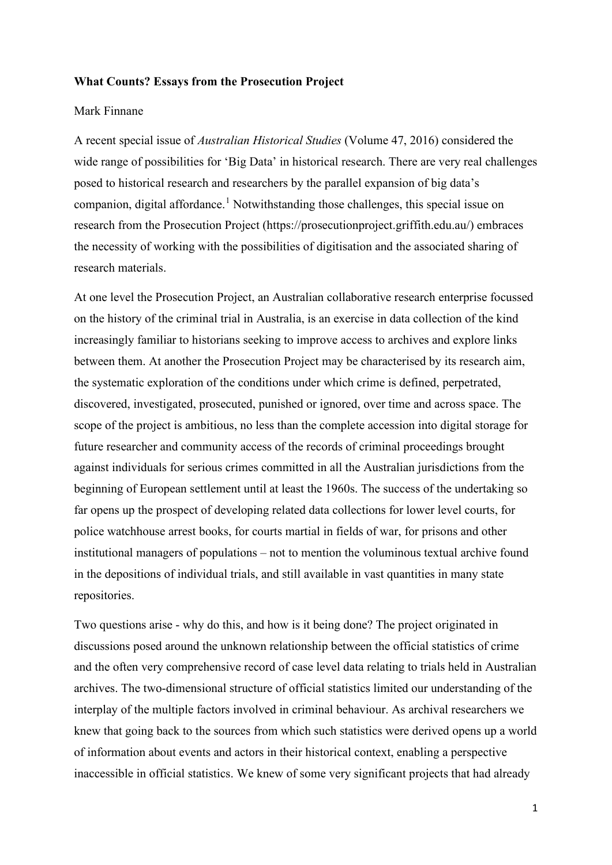## **What Counts? Essays from the Prosecution Project**

## Mark Finnane

A recent special issue of *Australian Historical Studies* (Volume 47, 2016) considered the wide range of possibilities for 'Big Data' in historical research. There are very real challenges posed to historical research and researchers by the parallel expansion of big data's companion, digital affordance.<sup>[1](#page-2-0)</sup> Notwithstanding those challenges, this special issue on research from the Prosecution Project (https://prosecutionproject.griffith.edu.au/) embraces the necessity of working with the possibilities of digitisation and the associated sharing of research materials.

At one level the Prosecution Project, an Australian collaborative research enterprise focussed on the history of the criminal trial in Australia, is an exercise in data collection of the kind increasingly familiar to historians seeking to improve access to archives and explore links between them. At another the Prosecution Project may be characterised by its research aim, the systematic exploration of the conditions under which crime is defined, perpetrated, discovered, investigated, prosecuted, punished or ignored, over time and across space. The scope of the project is ambitious, no less than the complete accession into digital storage for future researcher and community access of the records of criminal proceedings brought against individuals for serious crimes committed in all the Australian jurisdictions from the beginning of European settlement until at least the 1960s. The success of the undertaking so far opens up the prospect of developing related data collections for lower level courts, for police watchhouse arrest books, for courts martial in fields of war, for prisons and other institutional managers of populations – not to mention the voluminous textual archive found in the depositions of individual trials, and still available in vast quantities in many state repositories.

Two questions arise - why do this, and how is it being done? The project originated in discussions posed around the unknown relationship between the official statistics of crime and the often very comprehensive record of case level data relating to trials held in Australian archives. The two-dimensional structure of official statistics limited our understanding of the interplay of the multiple factors involved in criminal behaviour. As archival researchers we knew that going back to the sources from which such statistics were derived opens up a world of information about events and actors in their historical context, enabling a perspective inaccessible in official statistics. We knew of some very significant projects that had already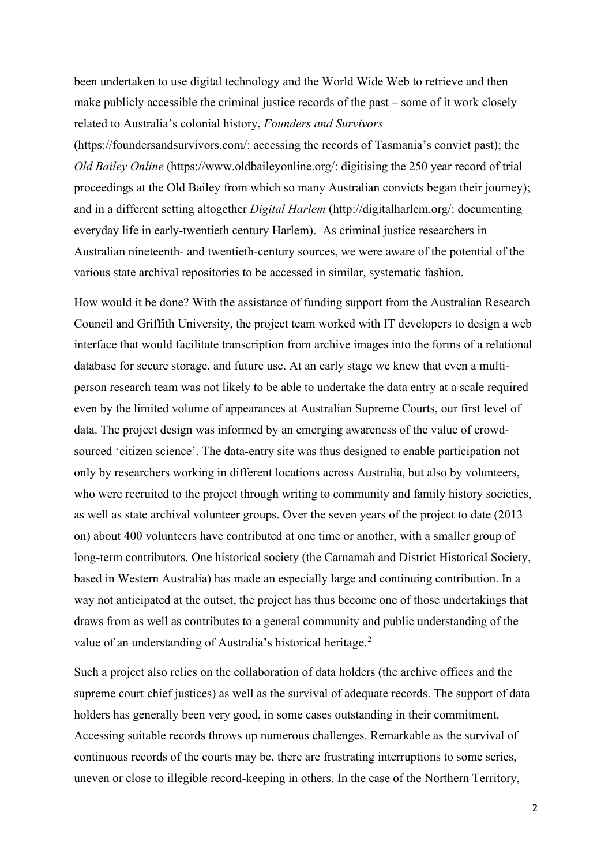been undertaken to use digital technology and the World Wide Web to retrieve and then make publicly accessible the criminal justice records of the past – some of it work closely related to Australia's colonial history, *Founders and Survivors*

(https://foundersandsurvivors.com/: accessing the records of Tasmania's convict past); the *Old Bailey Online* (https://www.oldbaileyonline.org/: digitising the 250 year record of trial proceedings at the Old Bailey from which so many Australian convicts began their journey); and in a different setting altogether *Digital Harlem* (http://digitalharlem.org/: documenting everyday life in early-twentieth century Harlem). As criminal justice researchers in Australian nineteenth- and twentieth-century sources, we were aware of the potential of the various state archival repositories to be accessed in similar, systematic fashion.

How would it be done? With the assistance of funding support from the Australian Research Council and Griffith University, the project team worked with IT developers to design a web interface that would facilitate transcription from archive images into the forms of a relational database for secure storage, and future use. At an early stage we knew that even a multiperson research team was not likely to be able to undertake the data entry at a scale required even by the limited volume of appearances at Australian Supreme Courts, our first level of data. The project design was informed by an emerging awareness of the value of crowdsourced 'citizen science'. The data-entry site was thus designed to enable participation not only by researchers working in different locations across Australia, but also by volunteers, who were recruited to the project through writing to community and family history societies, as well as state archival volunteer groups. Over the seven years of the project to date (2013 on) about 400 volunteers have contributed at one time or another, with a smaller group of long-term contributors. One historical society (the Carnamah and District Historical Society, based in Western Australia) has made an especially large and continuing contribution. In a way not anticipated at the outset, the project has thus become one of those undertakings that draws from as well as contributes to a general community and public understanding of the value of an understanding of Australia's historical heritage.<sup>[2](#page-2-1)</sup>

Such a project also relies on the collaboration of data holders (the archive offices and the supreme court chief justices) as well as the survival of adequate records. The support of data holders has generally been very good, in some cases outstanding in their commitment. Accessing suitable records throws up numerous challenges. Remarkable as the survival of continuous records of the courts may be, there are frustrating interruptions to some series, uneven or close to illegible record-keeping in others. In the case of the Northern Territory,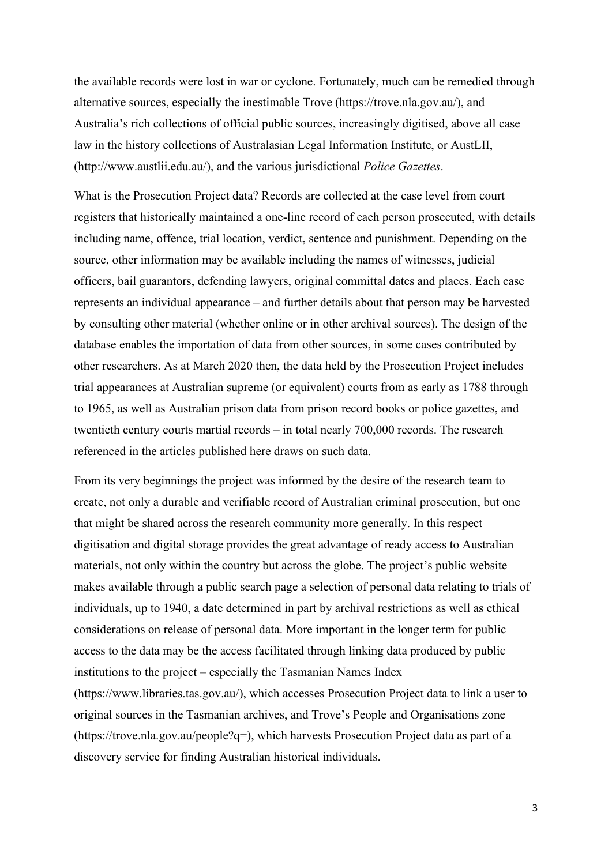the available records were lost in war or cyclone. Fortunately, much can be remedied through alternative sources, especially the inestimable Trove (https://trove.nla.gov.au/), and Australia's rich collections of official public sources, increasingly digitised, above all case law in the history collections of Australasian Legal Information Institute, or AustLII, (http://www.austlii.edu.au/), and the various jurisdictional *Police Gazettes*.

What is the Prosecution Project data? Records are collected at the case level from court registers that historically maintained a one-line record of each person prosecuted, with details including name, offence, trial location, verdict, sentence and punishment. Depending on the source, other information may be available including the names of witnesses, judicial officers, bail guarantors, defending lawyers, original committal dates and places. Each case represents an individual appearance – and further details about that person may be harvested by consulting other material (whether online or in other archival sources). The design of the database enables the importation of data from other sources, in some cases contributed by other researchers. As at March 2020 then, the data held by the Prosecution Project includes trial appearances at Australian supreme (or equivalent) courts from as early as 1788 through to 1965, as well as Australian prison data from prison record books or police gazettes, and twentieth century courts martial records – in total nearly 700,000 records. The research referenced in the articles published here draws on such data.

From its very beginnings the project was informed by the desire of the research team to create, not only a durable and verifiable record of Australian criminal prosecution, but one that might be shared across the research community more generally. In this respect digitisation and digital storage provides the great advantage of ready access to Australian materials, not only within the country but across the globe. The project's public website makes available through a public search page a selection of personal data relating to trials of individuals, up to 1940, a date determined in part by archival restrictions as well as ethical considerations on release of personal data. More important in the longer term for public access to the data may be the access facilitated through linking data produced by public institutions to the project – especially the Tasmanian Names Index (https://www.libraries.tas.gov.au/), which accesses Prosecution Project data to link a user to

<span id="page-2-3"></span><span id="page-2-2"></span><span id="page-2-1"></span><span id="page-2-0"></span>original sources in the Tasmanian archives, and Trove's People and Organisations zone (https://trove.nla.gov.au/people?q=), which harvests Prosecution Project data as part of a discovery service for finding Australian historical individuals.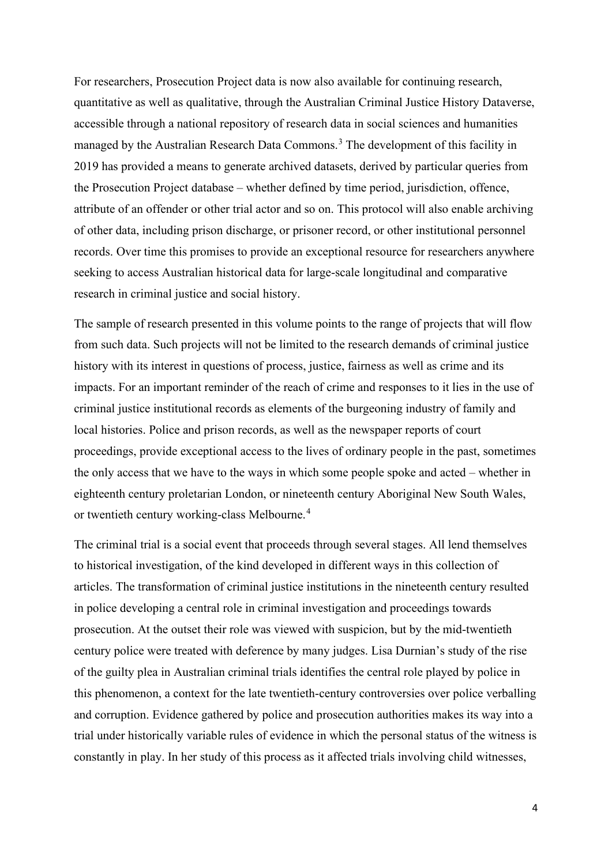For researchers, Prosecution Project data is now also available for continuing research, quantitative as well as qualitative, through the Australian Criminal Justice History Dataverse, accessible through a national repository of research data in social sciences and humanities managed by the Australian Research Data Commons.<sup>[3](#page-2-2)</sup> The development of this facility in 2019 has provided a means to generate archived datasets, derived by particular queries from the Prosecution Project database – whether defined by time period, jurisdiction, offence, attribute of an offender or other trial actor and so on. This protocol will also enable archiving of other data, including prison discharge, or prisoner record, or other institutional personnel records. Over time this promises to provide an exceptional resource for researchers anywhere seeking to access Australian historical data for large-scale longitudinal and comparative research in criminal justice and social history.

The sample of research presented in this volume points to the range of projects that will flow from such data. Such projects will not be limited to the research demands of criminal justice history with its interest in questions of process, justice, fairness as well as crime and its impacts. For an important reminder of the reach of crime and responses to it lies in the use of criminal justice institutional records as elements of the burgeoning industry of family and local histories. Police and prison records, as well as the newspaper reports of court proceedings, provide exceptional access to the lives of ordinary people in the past, sometimes the only access that we have to the ways in which some people spoke and acted – whether in eighteenth century proletarian London, or nineteenth century Aboriginal New South Wales, or twentieth century working-class Melbourne. [4](#page-2-3)

The criminal trial is a social event that proceeds through several stages. All lend themselves to historical investigation, of the kind developed in different ways in this collection of articles. The transformation of criminal justice institutions in the nineteenth century resulted in police developing a central role in criminal investigation and proceedings towards prosecution. At the outset their role was viewed with suspicion, but by the mid-twentieth century police were treated with deference by many judges. Lisa Durnian's study of the rise of the guilty plea in Australian criminal trials identifies the central role played by police in this phenomenon, a context for the late twentieth-century controversies over police verballing and corruption. Evidence gathered by police and prosecution authorities makes its way into a trial under historically variable rules of evidence in which the personal status of the witness is constantly in play. In her study of this process as it affected trials involving child witnesses,